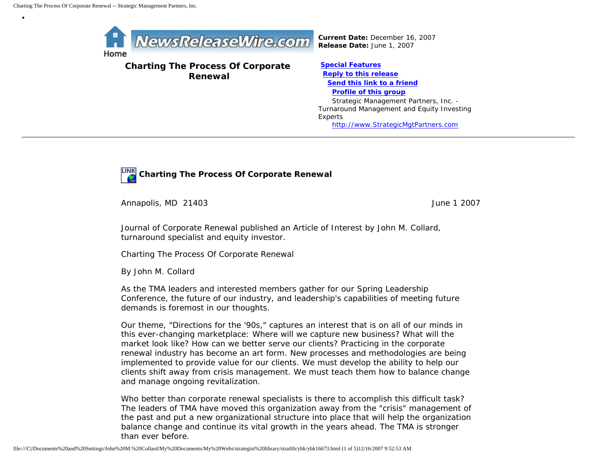•



**Charting The Process Of Corporate Renewal**

**[Special Features](javascript:openlittleme() [Reply to this release](file:///C|/Documents%20and%20Settings/John%20M.%20Collard/My%20Documents/My%20Webs/strategist%20library/stratlib/ybk/default.cfm?Action=ReplyRelease&Id=16673) [Send this link to a friend](file:///C|/Documents%20and%20Settings/John%20M.%20Collard/My%20Documents/My%20Webs/strategist%20library/stratlib/ybk/default.cfm?Action=SendLink&SendId=16673) [Profile of this group](file:///C|/Documents%20and%20Settings/John%20M.%20Collard/My%20Documents/My%20Webs/strategist%20library/stratlib/ybk/default.cfm?Action=Profile&ProfileId=623)** Strategic Management Partners, Inc. - Turnaround Management and Equity Investing Experts [http://www.StrategicMgtPartners.com](http://www.strategicmgtpartners.com/)



Annapolis, MD 21403 June 1 2007

Journal of Corporate Renewal published an Article of Interest by John M. Collard, turnaround specialist and equity investor.

Charting The Process Of Corporate Renewal

By John M. Collard

As the TMA leaders and interested members gather for our Spring Leadership Conference, the future of our industry, and leadership's capabilities of meeting future demands is foremost in our thoughts.

Our theme, "Directions for the '90s," captures an interest that is on all of our minds in this ever-changing marketplace: Where will we capture new business? What will the market look like? How can we better serve our clients? Practicing in the corporate renewal industry has become an art form. New processes and methodologies are being implemented to provide value for our clients. We must develop the ability to help our clients shift away from crisis management. We must teach them how to balance change and manage ongoing revitalization.

Who better than corporate renewal specialists is there to accomplish this difficult task? The leaders of TMA have moved this organization away from the "crisis" management of the past and put a new organizational structure into place that will help the organization balance change and continue its vital growth in the years ahead. The TMA is stronger than ever before.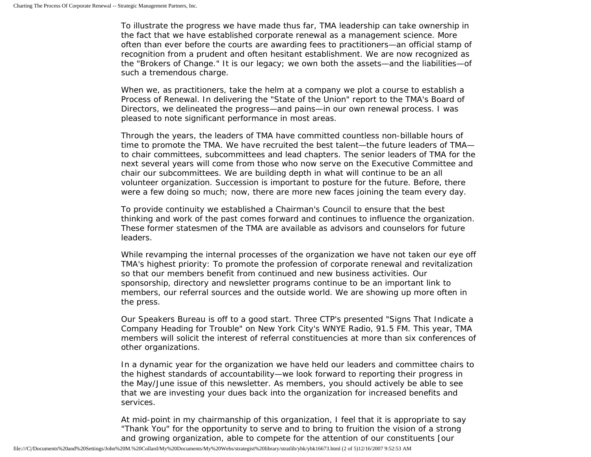To illustrate the progress we have made thus far, TMA leadership can take ownership in the fact that we have established corporate renewal as a management science. More often than ever before the courts are awarding fees to practitioners—an official stamp of recognition from a prudent and often hesitant establishment. We are now recognized as the "Brokers of Change." It is our legacy; we own both the assets—and the liabilities—of such a tremendous charge.

When we, as practitioners, take the helm at a company we plot a course to establish a Process of Renewal. In delivering the "State of the Union" report to the TMA's Board of Directors, we delineated the progress—and pains—in our own renewal process. I was pleased to note significant performance in most areas.

Through the years, the leaders of TMA have committed countless non-billable hours of time to promote the TMA. We have recruited the best talent—the future leaders of TMA to chair committees, subcommittees and lead chapters. The senior leaders of TMA for the next several years will come from those who now serve on the Executive Committee and chair our subcommittees. We are building depth in what will continue to be an all volunteer organization. Succession is important to posture for the future. Before, there were a few doing so much; now, there are more new faces joining the team every day.

To provide continuity we established a Chairman's Council to ensure that the best thinking and work of the past comes forward and continues to influence the organization. These former statesmen of the TMA are available as advisors and counselors for future leaders.

While revamping the internal processes of the organization we have not taken our eye off TMA's highest priority: To promote the profession of corporate renewal and revitalization so that our members benefit from continued and new business activities. Our sponsorship, directory and newsletter programs continue to be an important link to members, our referral sources and the outside world. We are showing up more often in the press.

Our Speakers Bureau is off to a good start. Three CTP's presented "Signs That Indicate a Company Heading for Trouble" on New York City's WNYE Radio, 91.5 FM. This year, TMA members will solicit the interest of referral constituencies at more than six conferences of other organizations.

In a dynamic year for the organization we have held our leaders and committee chairs to the highest standards of accountability—we look forward to reporting their progress in the May/June issue of this newsletter. As members, you should actively be able to see that we are investing your dues back into the organization for increased benefits and services.

At mid-point in my chairmanship of this organization, I feel that it is appropriate to say "Thank You" for the opportunity to serve and to bring to fruition the vision of a strong and growing organization, able to compete for the attention of our constituents [our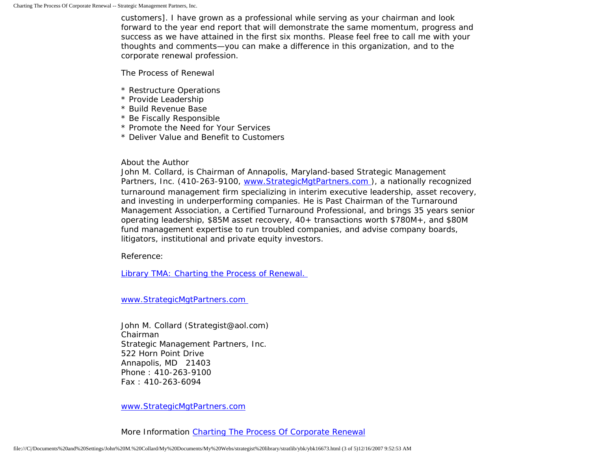customers]. I have grown as a professional while serving as your chairman and look forward to the year end report that will demonstrate the same momentum, progress and success as we have attained in the first six months. Please feel free to call me with your thoughts and comments—you can make a difference in this organization, and to the corporate renewal profession.

The Process of Renewal

- \* Restructure Operations
- \* Provide Leadership
- \* Build Revenue Base
- \* Be Fiscally Responsible
- \* Promote the Need for Your Services
- \* Deliver Value and Benefit to Customers

## About the Author

John M. Collard, is Chairman of Annapolis, Maryland-based Strategic Management Partners, Inc. (410-263-9100, www.StrategicMgtPartners.com), a nationally recognized turnaround management firm specializing in interim executive leadership, asset recovery, and investing in underperforming companies. He is Past Chairman of the Turnaround Management Association, a Certified Turnaround Professional, and brings 35 years senior operating leadership, \$85M asset recovery, 40+ transactions worth \$780M+, and \$80M fund management expertise to run troubled companies, and advise company boards, litigators, institutional and private equity investors.

Reference:

[Library TMA: Charting the Process of Renewal.](http://www.turnaround.org/news/letter.asp?objectID=2680) 

[www.StrategicMgtPartners.com](http://www.strategicmgtpartners.com/)

John M. Collard (Strategist@aol.com) Chairman Strategic Management Partners, Inc. 522 Horn Point Drive Annapolis, MD 21403 Phone : 410-263-9100 Fax : 410-263-6094

[www.StrategicMgtPartners.com](http://www.strategicmgtpartners.com/)

More Information [Charting The Process Of Corporate Renewal](http://www.turnaround.org/news/letter.asp?objectID=2680)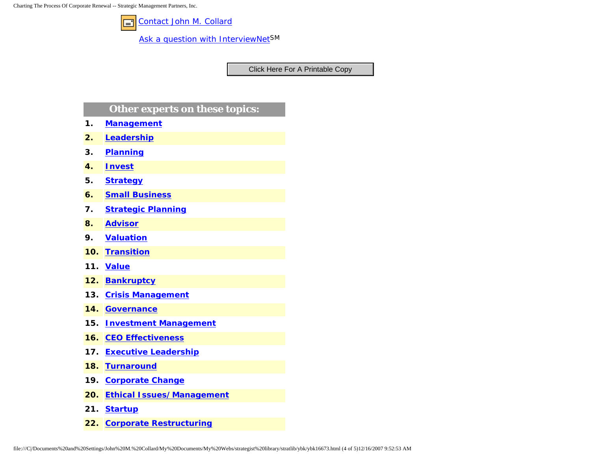Charting The Process Of Corporate Renewal -- Strategic Management Partners, Inc.



[Contact John M. Collard](http://www.expertclick.com/expertClick/contact/default.cfm?Action=ContactExpert&GroupID=1016)

[Ask a question with InterviewNetS](http://www.expertclick.com/expertClick/contact/default.cfm?GroupID=1016)M

## **Other experts on these topics:**

- **1. [Management](http://www.expertclick.com/search/default.cfm?SearchCriteria=Management)**
- **2. [Leadership](http://www.expertclick.com/search/default.cfm?SearchCriteria=Leadership)**
- **3. [Planning](http://www.expertclick.com/search/default.cfm?SearchCriteria=Planning)**
- **4. [Invest](http://www.expertclick.com/search/default.cfm?SearchCriteria=Invest)**
- **5. [Strategy](http://www.expertclick.com/search/default.cfm?SearchCriteria=Strategy)**
- **6. [Small Business](http://www.expertclick.com/search/default.cfm?SearchCriteria=Small Business)**
- **7. [Strategic Planning](http://www.expertclick.com/search/default.cfm?SearchCriteria=Strategic Planning)**
- **8. [Advisor](http://www.expertclick.com/search/default.cfm?SearchCriteria=Advisor)**
- **9. [Valuation](http://www.expertclick.com/search/default.cfm?SearchCriteria=Valuation)**
- **10. [Transition](http://www.expertclick.com/search/default.cfm?SearchCriteria=Transition)**
- **11. [Value](http://www.expertclick.com/search/default.cfm?SearchCriteria=Value)**
- **12. [Bankruptcy](http://www.expertclick.com/search/default.cfm?SearchCriteria=Bankruptcy)**
- **13. [Crisis Management](http://www.expertclick.com/search/default.cfm?SearchCriteria=Crisis Management)**
- **14. [Governance](http://www.expertclick.com/search/default.cfm?SearchCriteria=Governance)**
- **15. [Investment Management](http://www.expertclick.com/search/default.cfm?SearchCriteria=Investment Management)**
- **16. [CEO Effectiveness](http://www.expertclick.com/search/default.cfm?SearchCriteria=CEO Effectiveness)**
- **17. [Executive Leadership](http://www.expertclick.com/search/default.cfm?SearchCriteria=Executive Leadership)**
- **18. [Turnaround](http://www.expertclick.com/search/default.cfm?SearchCriteria=Turnaround)**
- **19. [Corporate Change](http://www.expertclick.com/search/default.cfm?SearchCriteria=Corporate Change)**
- **20. [Ethical Issues/Management](http://www.expertclick.com/search/default.cfm?SearchCriteria=Ethical Issues/Management)**
- **21. [Startup](http://www.expertclick.com/search/default.cfm?SearchCriteria=Startup)**
- **22. [Corporate Restructuring](http://www.expertclick.com/search/default.cfm?SearchCriteria=Corporate Restructuring)**